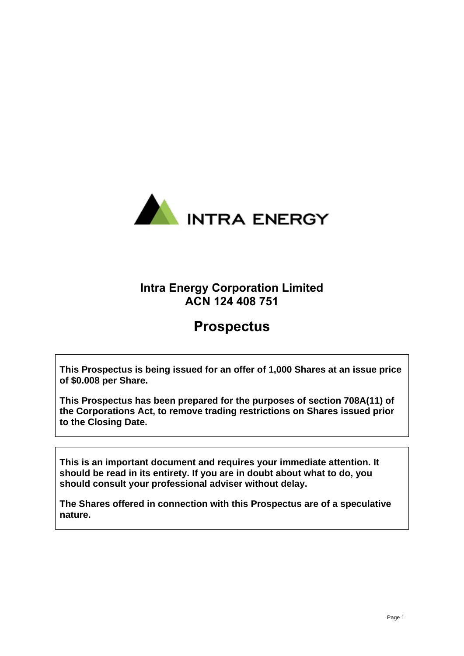

# **Intra Energy Corporation Limited ACN 124 408 751**

# **Prospectus**

**This Prospectus is being issued for an offer of 1,000 Shares at an issue price of \$0.008 per Share.** 

**This Prospectus has been prepared for the purposes of section 708A(11) of the Corporations Act, to remove trading restrictions on Shares issued prior to the Closing Date.**

**This is an important document and requires your immediate attention. It should be read in its entirety. If you are in doubt about what to do, you should consult your professional adviser without delay.**

**The Shares offered in connection with this Prospectus are of a speculative nature.**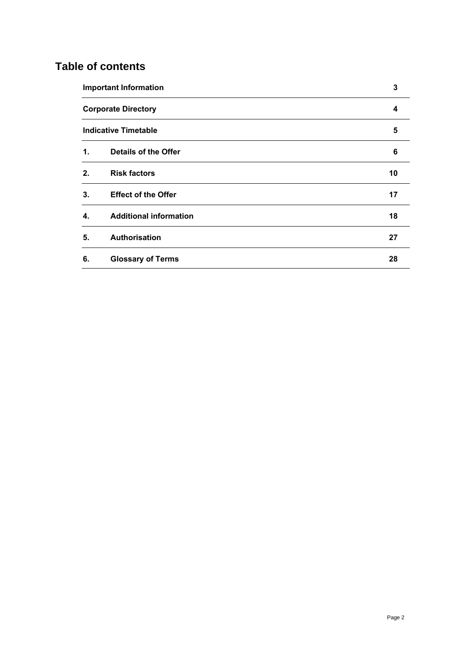# **Table of contents**

|                            | <b>Important Information</b>  |    |
|----------------------------|-------------------------------|----|
| <b>Corporate Directory</b> |                               | 4  |
|                            | <b>Indicative Timetable</b>   | 5  |
| $\mathbf 1$ .              | <b>Details of the Offer</b>   | 6  |
| 2.                         | <b>Risk factors</b>           | 10 |
| 3.                         | <b>Effect of the Offer</b>    | 17 |
| 4.                         | <b>Additional information</b> | 18 |
| 5.                         | Authorisation                 | 27 |
| 6.                         | <b>Glossary of Terms</b>      | 28 |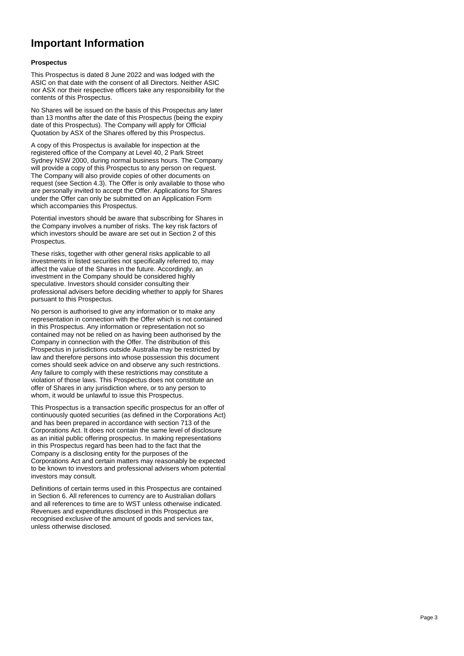# <span id="page-2-0"></span>**Important Information**

#### **Prospectus**

This Prospectus is dated 8 June 2022 and was lodged with the ASIC on that date with the consent of all Directors. Neither ASIC nor ASX nor their respective officers take any responsibility for the contents of this Prospectus.

No Shares will be issued on the basis of this Prospectus any later than 13 months after the date of this Prospectus (being the expiry date of this Prospectus). The Company will apply for Official Quotation by ASX of the Shares offered by this Prospectus.

A copy of this Prospectus is available for inspection at the registered office of the Company at Level 40, 2 Park Street Sydney NSW 2000, during normal business hours. The Company will provide a copy of this Prospectus to any person on request. The Company will also provide copies of other documents on request (see Section [4.3\)](#page-19-0). The Offer is only available to those who are personally invited to accept the Offer. Applications for Shares under the Offer can only be submitted on an Application Form which accompanies this Prospectus.

Potential investors should be aware that subscribing for Shares in the Company involves a number of risks. The key risk factors of which investors should be aware are set out in Section [2](#page-9-0) of this **Prospectus.** 

These risks, together with other general risks applicable to all investments in listed securities not specifically referred to, may affect the value of the Shares in the future. Accordingly, an investment in the Company should be considered highly speculative. Investors should consider consulting their professional advisers before deciding whether to apply for Shares pursuant to this Prospectus.

No person is authorised to give any information or to make any representation in connection with the Offer which is not contained in this Prospectus. Any information or representation not so contained may not be relied on as having been authorised by the Company in connection with the Offer. The distribution of this Prospectus in jurisdictions outside Australia may be restricted by law and therefore persons into whose possession this document comes should seek advice on and observe any such restrictions. Any failure to comply with these restrictions may constitute a violation of those laws. This Prospectus does not constitute an offer of Shares in any jurisdiction where, or to any person to whom, it would be unlawful to issue this Prospectus.

This Prospectus is a transaction specific prospectus for an offer of continuously quoted securities (as defined in the Corporations Act) and has been prepared in accordance with section 713 of the Corporations Act. It does not contain the same level of disclosure as an initial public offering prospectus. In making representations in this Prospectus regard has been had to the fact that the Company is a disclosing entity for the purposes of the Corporations Act and certain matters may reasonably be expected to be known to investors and professional advisers whom potential investors may consult.

Definitions of certain terms used in this Prospectus are contained in Section [6.](#page-27-0) All references to currency are to Australian dollars and all references to time are to WST unless otherwise indicated. Revenues and expenditures disclosed in this Prospectus are recognised exclusive of the amount of goods and services tax, unless otherwise disclosed.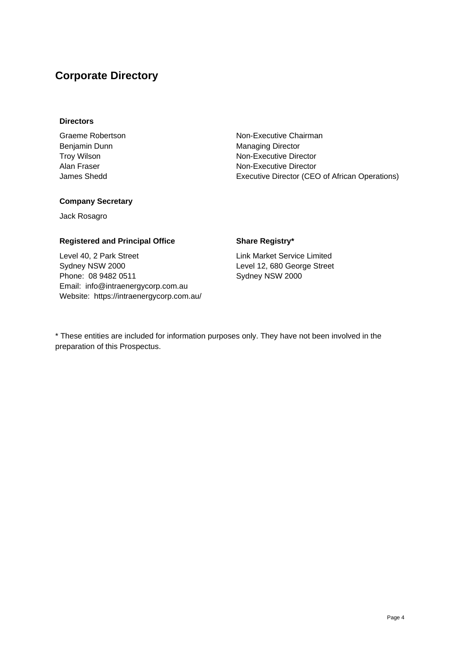# <span id="page-3-0"></span>**Corporate Directory**

### **Directors**

Graeme Robertson **Non-Executive Chairman** Benjamin Dunn Managing Director

Troy Wilson Non-Executive Director Alan Fraser Non-Executive Director James Shedd Executive Director (CEO of African Operations)

# **Company Secretary**

Jack Rosagro

# **Registered and Principal Office Share Registry\***

Level 40, 2 Park Street Sydney NSW 2000 Phone: 08 9482 0511 Email: info@intraenergycorp.com.au Website: https://intraenergycorp.com.au/

Link Market Service Limited Level 12, 680 George Street Sydney NSW 2000

\* These entities are included for information purposes only. They have not been involved in the preparation of this Prospectus.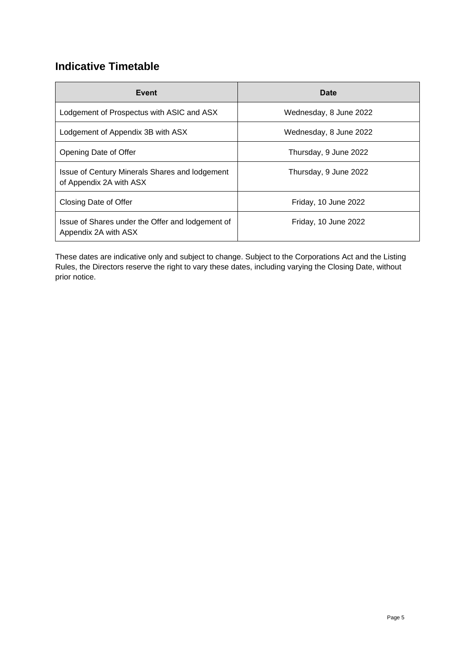# <span id="page-4-0"></span>**Indicative Timetable**

| Event                                                                     | <b>Date</b>            |
|---------------------------------------------------------------------------|------------------------|
| Lodgement of Prospectus with ASIC and ASX                                 | Wednesday, 8 June 2022 |
| Lodgement of Appendix 3B with ASX                                         | Wednesday, 8 June 2022 |
| Opening Date of Offer                                                     | Thursday, 9 June 2022  |
| Issue of Century Minerals Shares and lodgement<br>of Appendix 2A with ASX | Thursday, 9 June 2022  |
| Closing Date of Offer                                                     | Friday, 10 June 2022   |
| Issue of Shares under the Offer and lodgement of<br>Appendix 2A with ASX  | Friday, 10 June 2022   |

These dates are indicative only and subject to change. Subject to the Corporations Act and the Listing Rules, the Directors reserve the right to vary these dates, including varying the Closing Date, without prior notice.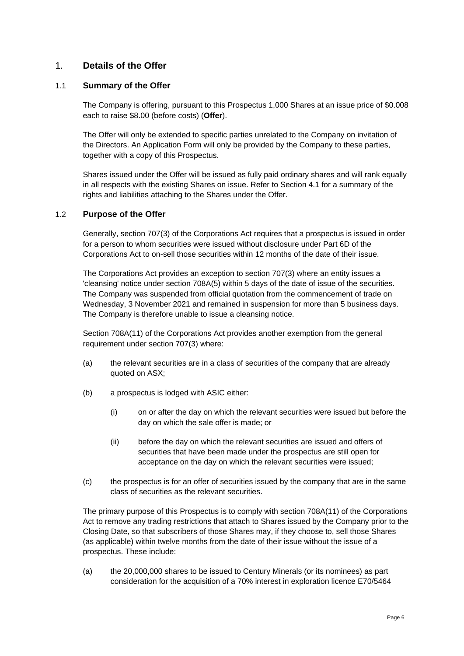# <span id="page-5-0"></span>1. **Details of the Offer**

# <span id="page-5-1"></span>1.1 **Summary of the Offer**

The Company is offering, pursuant to this Prospectus 1,000 Shares at an issue price of \$0.008 each to raise \$8.00 (before costs) (**Offer**).

The Offer will only be extended to specific parties unrelated to the Company on invitation of the Directors. An Application Form will only be provided by the Company to these parties, together with a copy of this Prospectus.

Shares issued under the Offer will be issued as fully paid ordinary shares and will rank equally in all respects with the existing Shares on issue. Refer to Section [4.1](#page-17-1) for a summary of the rights and liabilities attaching to the Shares under the Offer.

# 1.2 **Purpose of the Offer**

Generally, section 707(3) of the Corporations Act requires that a prospectus is issued in order for a person to whom securities were issued without disclosure under Part 6D of the Corporations Act to on-sell those securities within 12 months of the date of their issue.

The Corporations Act provides an exception to section 707(3) where an entity issues a 'cleansing' notice under section 708A(5) within 5 days of the date of issue of the securities. The Company was suspended from official quotation from the commencement of trade on Wednesday, 3 November 2021 and remained in suspension for more than 5 business days. The Company is therefore unable to issue a cleansing notice.

Section 708A(11) of the Corporations Act provides another exemption from the general requirement under section 707(3) where:

- (a) the relevant securities are in a class of securities of the company that are already quoted on ASX;
- (b) a prospectus is lodged with ASIC either:
	- (i) on or after the day on which the relevant securities were issued but before the day on which the sale offer is made; or
	- (ii) before the day on which the relevant securities are issued and offers of securities that have been made under the prospectus are still open for acceptance on the day on which the relevant securities were issued;
- (c) the prospectus is for an offer of securities issued by the company that are in the same class of securities as the relevant securities.

The primary purpose of this Prospectus is to comply with section 708A(11) of the Corporations Act to remove any trading restrictions that attach to Shares issued by the Company prior to the Closing Date, so that subscribers of those Shares may, if they choose to, sell those Shares (as applicable) within twelve months from the date of their issue without the issue of a prospectus. These include:

(a) the 20,000,000 shares to be issued to Century Minerals (or its nominees) as part consideration for the acquisition of a 70% interest in exploration licence E70/5464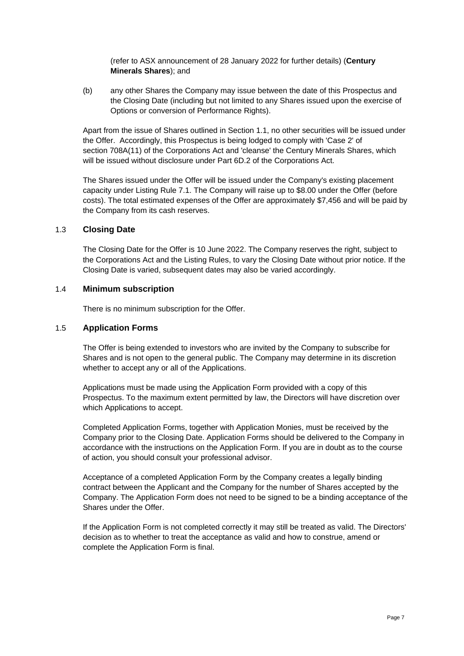(refer to ASX announcement of 28 January 2022 for further details) (**Century Minerals Shares**); and

(b) any other Shares the Company may issue between the date of this Prospectus and the Closing Date (including but not limited to any Shares issued upon the exercise of Options or conversion of Performance Rights).

Apart from the issue of Shares outlined in Sectio[n 1.1,](#page-5-1) no other securities will be issued under the Offer. Accordingly, this Prospectus is being lodged to comply with 'Case 2' of section 708A(11) of the Corporations Act and 'cleanse' the Century Minerals Shares, which will be issued without disclosure under Part 6D.2 of the Corporations Act.

The Shares issued under the Offer will be issued under the Company's existing placement capacity under Listing Rule 7.1. The Company will raise up to \$8.00 under the Offer (before costs). The total estimated expenses of the Offer are approximately \$7,456 and will be paid by the Company from its cash reserves.

# 1.3 **Closing Date**

The Closing Date for the Offer is 10 June 2022. The Company reserves the right, subject to the Corporations Act and the Listing Rules, to vary the Closing Date without prior notice. If the Closing Date is varied, subsequent dates may also be varied accordingly.

#### 1.4 **Minimum subscription**

There is no minimum subscription for the Offer.

### 1.5 **Application Forms**

The Offer is being extended to investors who are invited by the Company to subscribe for Shares and is not open to the general public. The Company may determine in its discretion whether to accept any or all of the Applications.

Applications must be made using the Application Form provided with a copy of this Prospectus. To the maximum extent permitted by law, the Directors will have discretion over which Applications to accept.

Completed Application Forms, together with Application Monies, must be received by the Company prior to the Closing Date. Application Forms should be delivered to the Company in accordance with the instructions on the Application Form. If you are in doubt as to the course of action, you should consult your professional advisor.

Acceptance of a completed Application Form by the Company creates a legally binding contract between the Applicant and the Company for the number of Shares accepted by the Company. The Application Form does not need to be signed to be a binding acceptance of the Shares under the Offer.

If the Application Form is not completed correctly it may still be treated as valid. The Directors' decision as to whether to treat the acceptance as valid and how to construe, amend or complete the Application Form is final.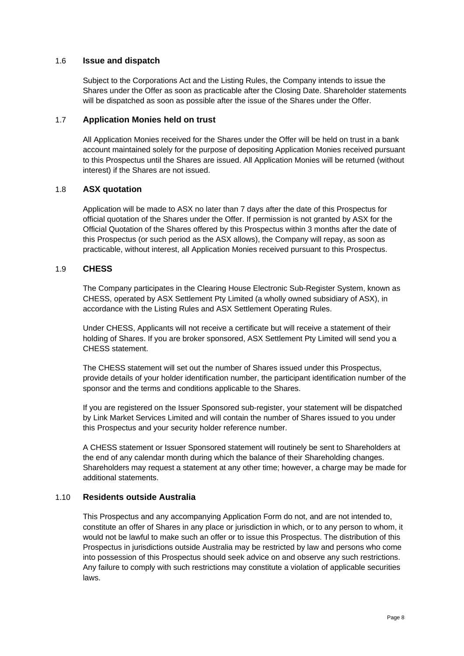# 1.6 **Issue and dispatch**

Subject to the Corporations Act and the Listing Rules, the Company intends to issue the Shares under the Offer as soon as practicable after the Closing Date. Shareholder statements will be dispatched as soon as possible after the issue of the Shares under the Offer.

# 1.7 **Application Monies held on trust**

All Application Monies received for the Shares under the Offer will be held on trust in a bank account maintained solely for the purpose of depositing Application Monies received pursuant to this Prospectus until the Shares are issued. All Application Monies will be returned (without interest) if the Shares are not issued.

# 1.8 **ASX quotation**

Application will be made to ASX no later than 7 days after the date of this Prospectus for official quotation of the Shares under the Offer. If permission is not granted by ASX for the Official Quotation of the Shares offered by this Prospectus within 3 months after the date of this Prospectus (or such period as the ASX allows), the Company will repay, as soon as practicable, without interest, all Application Monies received pursuant to this Prospectus.

# 1.9 **CHESS**

The Company participates in the Clearing House Electronic Sub-Register System, known as CHESS, operated by ASX Settlement Pty Limited (a wholly owned subsidiary of ASX), in accordance with the Listing Rules and ASX Settlement Operating Rules.

Under CHESS, Applicants will not receive a certificate but will receive a statement of their holding of Shares. If you are broker sponsored, ASX Settlement Pty Limited will send you a CHESS statement.

The CHESS statement will set out the number of Shares issued under this Prospectus, provide details of your holder identification number, the participant identification number of the sponsor and the terms and conditions applicable to the Shares.

If you are registered on the Issuer Sponsored sub-register, your statement will be dispatched by Link Market Services Limited and will contain the number of Shares issued to you under this Prospectus and your security holder reference number.

A CHESS statement or Issuer Sponsored statement will routinely be sent to Shareholders at the end of any calendar month during which the balance of their Shareholding changes. Shareholders may request a statement at any other time; however, a charge may be made for additional statements.

# 1.10 **Residents outside Australia**

This Prospectus and any accompanying Application Form do not, and are not intended to, constitute an offer of Shares in any place or jurisdiction in which, or to any person to whom, it would not be lawful to make such an offer or to issue this Prospectus. The distribution of this Prospectus in jurisdictions outside Australia may be restricted by law and persons who come into possession of this Prospectus should seek advice on and observe any such restrictions. Any failure to comply with such restrictions may constitute a violation of applicable securities laws.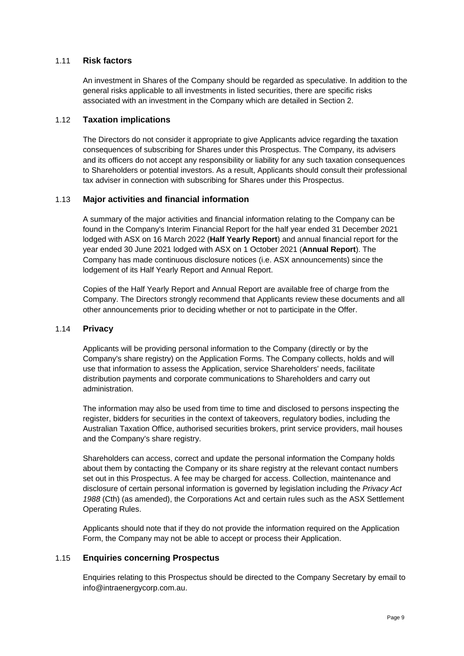# 1.11 **Risk factors**

An investment in Shares of the Company should be regarded as speculative. In addition to the general risks applicable to all investments in listed securities, there are specific risks associated with an investment in the Company which are detailed in Section [2.](#page-9-0)

# 1.12 **Taxation implications**

The Directors do not consider it appropriate to give Applicants advice regarding the taxation consequences of subscribing for Shares under this Prospectus. The Company, its advisers and its officers do not accept any responsibility or liability for any such taxation consequences to Shareholders or potential investors. As a result, Applicants should consult their professional tax adviser in connection with subscribing for Shares under this Prospectus.

# 1.13 **Major activities and financial information**

A summary of the major activities and financial information relating to the Company can be found in the Company's Interim Financial Report for the half year ended 31 December 2021 lodged with ASX on 16 March 2022 (**Half Yearly Report**) and annual financial report for the year ended 30 June 2021 lodged with ASX on 1 October 2021 (**Annual Report**). The Company has made continuous disclosure notices (i.e. ASX announcements) since the lodgement of its Half Yearly Report and Annual Report.

Copies of the Half Yearly Report and Annual Report are available free of charge from the Company. The Directors strongly recommend that Applicants review these documents and all other announcements prior to deciding whether or not to participate in the Offer.

# 1.14 **Privacy**

Applicants will be providing personal information to the Company (directly or by the Company's share registry) on the Application Forms. The Company collects, holds and will use that information to assess the Application, service Shareholders' needs, facilitate distribution payments and corporate communications to Shareholders and carry out administration.

The information may also be used from time to time and disclosed to persons inspecting the register, bidders for securities in the context of takeovers, regulatory bodies, including the Australian Taxation Office, authorised securities brokers, print service providers, mail houses and the Company's share registry.

Shareholders can access, correct and update the personal information the Company holds about them by contacting the Company or its share registry at the relevant contact numbers set out in this Prospectus. A fee may be charged for access. Collection, maintenance and disclosure of certain personal information is governed by legislation including the *Privacy Act 1988* (Cth) (as amended), the Corporations Act and certain rules such as the ASX Settlement Operating Rules.

Applicants should note that if they do not provide the information required on the Application Form, the Company may not be able to accept or process their Application.

# 1.15 **Enquiries concerning Prospectus**

Enquiries relating to this Prospectus should be directed to the Company Secretary by email to info@intraenergycorp.com.au.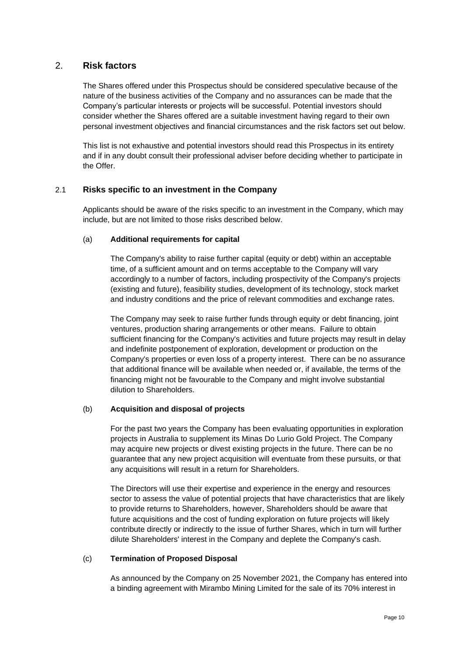# <span id="page-9-0"></span>2. **Risk factors**

The Shares offered under this Prospectus should be considered speculative because of the nature of the business activities of the Company and no assurances can be made that the Company's particular interests or projects will be successful. Potential investors should consider whether the Shares offered are a suitable investment having regard to their own personal investment objectives and financial circumstances and the risk factors set out below.

This list is not exhaustive and potential investors should read this Prospectus in its entirety and if in any doubt consult their professional adviser before deciding whether to participate in the Offer.

# 2.1 **Risks specific to an investment in the Company**

Applicants should be aware of the risks specific to an investment in the Company, which may include, but are not limited to those risks described below.

# (a) **Additional requirements for capital**

The Company's ability to raise further capital (equity or debt) within an acceptable time, of a sufficient amount and on terms acceptable to the Company will vary accordingly to a number of factors, including prospectivity of the Company's projects (existing and future), feasibility studies, development of its technology, stock market and industry conditions and the price of relevant commodities and exchange rates.

The Company may seek to raise further funds through equity or debt financing, joint ventures, production sharing arrangements or other means. Failure to obtain sufficient financing for the Company's activities and future projects may result in delay and indefinite postponement of exploration, development or production on the Company's properties or even loss of a property interest. There can be no assurance that additional finance will be available when needed or, if available, the terms of the financing might not be favourable to the Company and might involve substantial dilution to Shareholders.

# (b) **Acquisition and disposal of projects**

For the past two years the Company has been evaluating opportunities in exploration projects in Australia to supplement its Minas Do Lurio Gold Project. The Company may acquire new projects or divest existing projects in the future. There can be no guarantee that any new project acquisition will eventuate from these pursuits, or that any acquisitions will result in a return for Shareholders.

The Directors will use their expertise and experience in the energy and resources sector to assess the value of potential projects that have characteristics that are likely to provide returns to Shareholders, however, Shareholders should be aware that future acquisitions and the cost of funding exploration on future projects will likely contribute directly or indirectly to the issue of further Shares, which in turn will further dilute Shareholders' interest in the Company and deplete the Company's cash.

# <span id="page-9-1"></span>(c) **Termination of Proposed Disposal**

As announced by the Company on 25 November 2021, the Company has entered into a binding agreement with Mirambo Mining Limited for the sale of its 70% interest in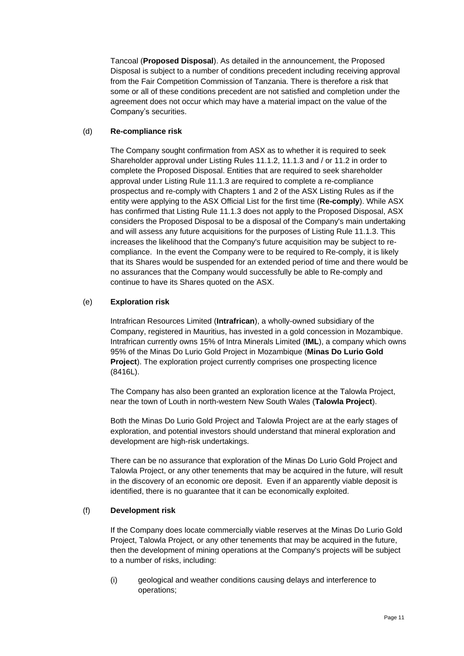Tancoal (**Proposed Disposal**). As detailed in the announcement, the Proposed Disposal is subject to a number of conditions precedent including receiving approval from the Fair Competition Commission of Tanzania. There is therefore a risk that some or all of these conditions precedent are not satisfied and completion under the agreement does not occur which may have a material impact on the value of the Company's securities.

# (d) **Re-compliance risk**

The Company sought confirmation from ASX as to whether it is required to seek Shareholder approval under Listing Rules 11.1.2, 11.1.3 and / or 11.2 in order to complete the Proposed Disposal. Entities that are required to seek shareholder approval under Listing Rule 11.1.3 are required to complete a re-compliance prospectus and re-comply with Chapters 1 and 2 of the ASX Listing Rules as if the entity were applying to the ASX Official List for the first time (**Re-comply**). While ASX has confirmed that Listing Rule 11.1.3 does not apply to the Proposed Disposal, ASX considers the Proposed Disposal to be a disposal of the Company's main undertaking and will assess any future acquisitions for the purposes of Listing Rule 11.1.3. This increases the likelihood that the Company's future acquisition may be subject to recompliance. In the event the Company were to be required to Re-comply, it is likely that its Shares would be suspended for an extended period of time and there would be no assurances that the Company would successfully be able to Re-comply and continue to have its Shares quoted on the ASX.

# <span id="page-10-0"></span>(e) **Exploration risk**

Intrafrican Resources Limited (**Intrafrican**), a wholly-owned subsidiary of the Company, registered in Mauritius, has invested in a gold concession in Mozambique. Intrafrican currently owns 15% of Intra Minerals Limited (**IML**), a company which owns 95% of the Minas Do Lurio Gold Project in Mozambique (**Minas Do Lurio Gold Project**). The exploration project currently comprises one prospecting licence (8416L).

The Company has also been granted an exploration licence at the Talowla Project, near the town of Louth in north-western New South Wales (**Talowla Project**).

Both the Minas Do Lurio Gold Project and Talowla Project are at the early stages of exploration, and potential investors should understand that mineral exploration and development are high-risk undertakings.

There can be no assurance that exploration of the Minas Do Lurio Gold Project and Talowla Project, or any other tenements that may be acquired in the future, will result in the discovery of an economic ore deposit. Even if an apparently viable deposit is identified, there is no guarantee that it can be economically exploited.

# (f) **Development risk**

If the Company does locate commercially viable reserves at the Minas Do Lurio Gold Project, Talowla Project, or any other tenements that may be acquired in the future, then the development of mining operations at the Company's projects will be subject to a number of risks, including:

(i) geological and weather conditions causing delays and interference to operations;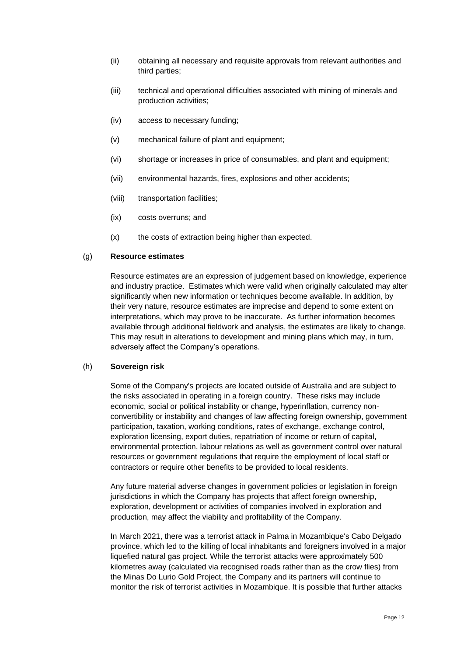- (ii) obtaining all necessary and requisite approvals from relevant authorities and third parties;
- (iii) technical and operational difficulties associated with mining of minerals and production activities;
- (iv) access to necessary funding;
- (v) mechanical failure of plant and equipment;
- (vi) shortage or increases in price of consumables, and plant and equipment;
- (vii) environmental hazards, fires, explosions and other accidents;
- (viii) transportation facilities;
- (ix) costs overruns; and
- (x) the costs of extraction being higher than expected.

#### (g) **Resource estimates**

Resource estimates are an expression of judgement based on knowledge, experience and industry practice. Estimates which were valid when originally calculated may alter significantly when new information or techniques become available. In addition, by their very nature, resource estimates are imprecise and depend to some extent on interpretations, which may prove to be inaccurate. As further information becomes available through additional fieldwork and analysis, the estimates are likely to change. This may result in alterations to development and mining plans which may, in turn, adversely affect the Company's operations.

#### (h) **Sovereign risk**

Some of the Company's projects are located outside of Australia and are subject to the risks associated in operating in a foreign country. These risks may include economic, social or political instability or change, hyperinflation, currency nonconvertibility or instability and changes of law affecting foreign ownership, government participation, taxation, working conditions, rates of exchange, exchange control, exploration licensing, export duties, repatriation of income or return of capital, environmental protection, labour relations as well as government control over natural resources or government regulations that require the employment of local staff or contractors or require other benefits to be provided to local residents.

Any future material adverse changes in government policies or legislation in foreign jurisdictions in which the Company has projects that affect foreign ownership, exploration, development or activities of companies involved in exploration and production, may affect the viability and profitability of the Company.

In March 2021, there was a terrorist attack in Palma in Mozambique's Cabo Delgado province, which led to the killing of local inhabitants and foreigners involved in a major liquefied natural gas project. While the terrorist attacks were approximately 500 kilometres away (calculated via recognised roads rather than as the crow flies) from the Minas Do Lurio Gold Project, the Company and its partners will continue to monitor the risk of terrorist activities in Mozambique. It is possible that further attacks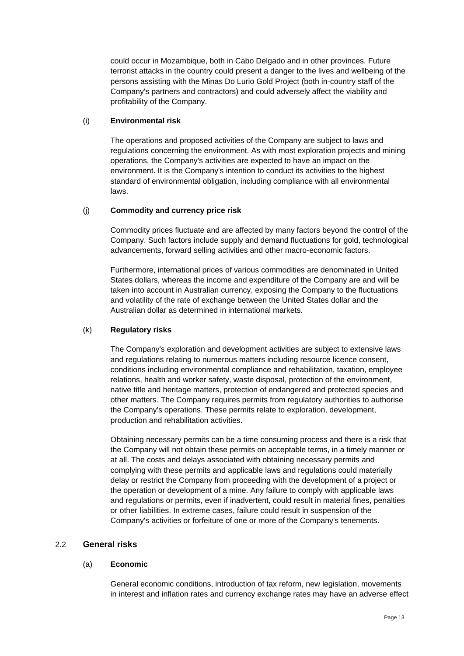could occur in Mozambique, both in Cabo Delgado and in other provinces. Future terrorist attacks in the country could present a danger to the lives and wellbeing of the persons assisting with the Minas Do Lurio Gold Project (both in-country staff of the Company's partners and contractors) and could adversely affect the viability and profitability of the Company.

### (i) **Environmental risk**

The operations and proposed activities of the Company are subject to laws and regulations concerning the environment. As with most exploration projects and mining operations, the Company's activities are expected to have an impact on the environment. It is the Company's intention to conduct its activities to the highest standard of environmental obligation, including compliance with all environmental laws.

### (j) **Commodity and currency price risk**

Commodity prices fluctuate and are affected by many factors beyond the control of the Company. Such factors include supply and demand fluctuations for gold, technological advancements, forward selling activities and other macro-economic factors.

Furthermore, international prices of various commodities are denominated in United States dollars, whereas the income and expenditure of the Company are and will be taken into account in Australian currency, exposing the Company to the fluctuations and volatility of the rate of exchange between the United States dollar and the Australian dollar as determined in international markets.

# (k) **Regulatory risks**

The Company's exploration and development activities are subject to extensive laws and regulations relating to numerous matters including resource licence consent, conditions including environmental compliance and rehabilitation, taxation, employee relations, health and worker safety, waste disposal, protection of the environment, native title and heritage matters, protection of endangered and protected species and other matters. The Company requires permits from regulatory authorities to authorise the Company's operations. These permits relate to exploration, development, production and rehabilitation activities.

Obtaining necessary permits can be a time consuming process and there is a risk that the Company will not obtain these permits on acceptable terms, in a timely manner or at all. The costs and delays associated with obtaining necessary permits and complying with these permits and applicable laws and regulations could materially delay or restrict the Company from proceeding with the development of a project or the operation or development of a mine. Any failure to comply with applicable laws and regulations or permits, even if inadvertent, could result in material fines, penalties or other liabilities. In extreme cases, failure could result in suspension of the Company's activities or forfeiture of one or more of the Company's tenements.

# 2.2 **General risks**

#### (a) **Economic**

General economic conditions, introduction of tax reform, new legislation, movements in interest and inflation rates and currency exchange rates may have an adverse effect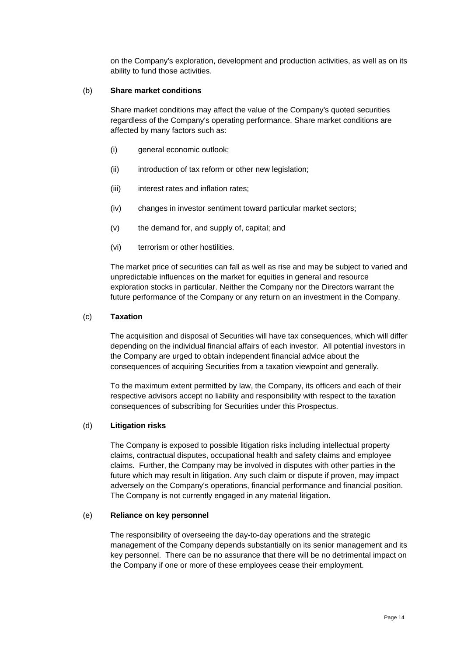on the Company's exploration, development and production activities, as well as on its ability to fund those activities.

#### (b) **Share market conditions**

Share market conditions may affect the value of the Company's quoted securities regardless of the Company's operating performance. Share market conditions are affected by many factors such as:

- (i) general economic outlook;
- (ii) introduction of tax reform or other new legislation;
- (iii) interest rates and inflation rates;
- (iv) changes in investor sentiment toward particular market sectors;
- (v) the demand for, and supply of, capital; and
- (vi) terrorism or other hostilities.

The market price of securities can fall as well as rise and may be subject to varied and unpredictable influences on the market for equities in general and resource exploration stocks in particular. Neither the Company nor the Directors warrant the future performance of the Company or any return on an investment in the Company.

#### (c) **Taxation**

The acquisition and disposal of Securities will have tax consequences, which will differ depending on the individual financial affairs of each investor. All potential investors in the Company are urged to obtain independent financial advice about the consequences of acquiring Securities from a taxation viewpoint and generally.

To the maximum extent permitted by law, the Company, its officers and each of their respective advisors accept no liability and responsibility with respect to the taxation consequences of subscribing for Securities under this Prospectus.

#### (d) **Litigation risks**

The Company is exposed to possible litigation risks including intellectual property claims, contractual disputes, occupational health and safety claims and employee claims. Further, the Company may be involved in disputes with other parties in the future which may result in litigation. Any such claim or dispute if proven, may impact adversely on the Company's operations, financial performance and financial position. The Company is not currently engaged in any material litigation.

#### (e) **Reliance on key personnel**

The responsibility of overseeing the day-to-day operations and the strategic management of the Company depends substantially on its senior management and its key personnel. There can be no assurance that there will be no detrimental impact on the Company if one or more of these employees cease their employment.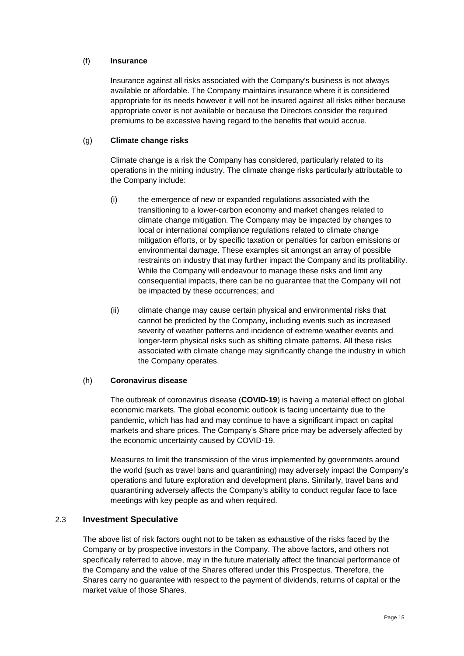### (f) **Insurance**

Insurance against all risks associated with the Company's business is not always available or affordable. The Company maintains insurance where it is considered appropriate for its needs however it will not be insured against all risks either because appropriate cover is not available or because the Directors consider the required premiums to be excessive having regard to the benefits that would accrue.

# (g) **Climate change risks**

Climate change is a risk the Company has considered, particularly related to its operations in the mining industry. The climate change risks particularly attributable to the Company include:

- (i) the emergence of new or expanded regulations associated with the transitioning to a lower-carbon economy and market changes related to climate change mitigation. The Company may be impacted by changes to local or international compliance regulations related to climate change mitigation efforts, or by specific taxation or penalties for carbon emissions or environmental damage. These examples sit amongst an array of possible restraints on industry that may further impact the Company and its profitability. While the Company will endeavour to manage these risks and limit any consequential impacts, there can be no guarantee that the Company will not be impacted by these occurrences; and
- (ii) climate change may cause certain physical and environmental risks that cannot be predicted by the Company, including events such as increased severity of weather patterns and incidence of extreme weather events and longer-term physical risks such as shifting climate patterns. All these risks associated with climate change may significantly change the industry in which the Company operates.

# <span id="page-14-0"></span>(h) **Coronavirus disease**

The outbreak of coronavirus disease (**COVID-19**) is having a material effect on global economic markets. The global economic outlook is facing uncertainty due to the pandemic, which has had and may continue to have a significant impact on capital markets and share prices. The Company's Share price may be adversely affected by the economic uncertainty caused by COVID-19.

Measures to limit the transmission of the virus implemented by governments around the world (such as travel bans and quarantining) may adversely impact the Company's operations and future exploration and development plans. Similarly, travel bans and quarantining adversely affects the Company's ability to conduct regular face to face meetings with key people as and when required.

# 2.3 **Investment Speculative**

The above list of risk factors ought not to be taken as exhaustive of the risks faced by the Company or by prospective investors in the Company. The above factors, and others not specifically referred to above, may in the future materially affect the financial performance of the Company and the value of the Shares offered under this Prospectus. Therefore, the Shares carry no guarantee with respect to the payment of dividends, returns of capital or the market value of those Shares.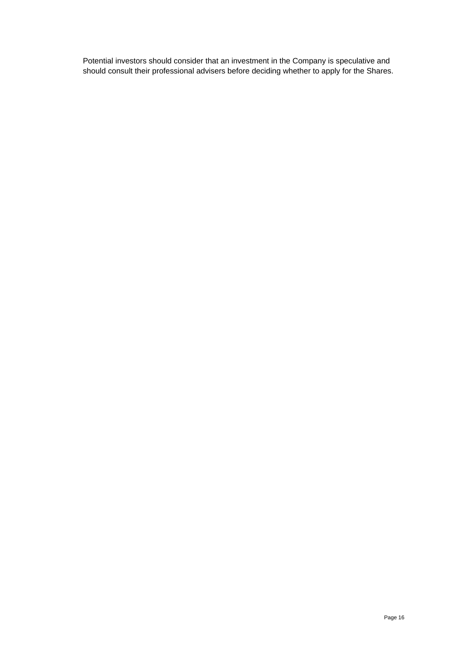Potential investors should consider that an investment in the Company is speculative and should consult their professional advisers before deciding whether to apply for the Shares.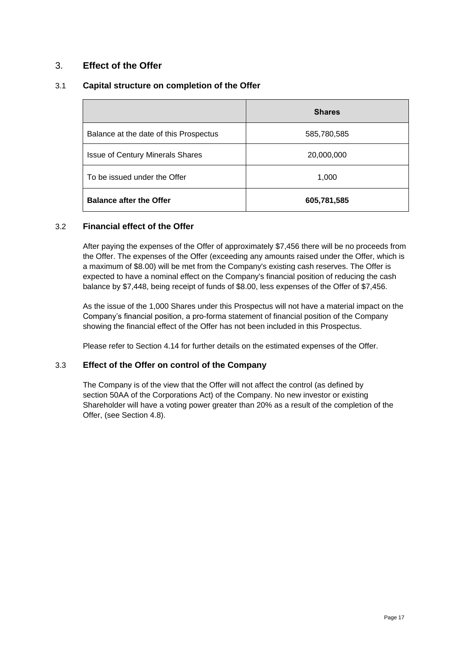# <span id="page-16-0"></span>3. **Effect of the Offer**

# 3.1 **Capital structure on completion of the Offer**

|                                         | <b>Shares</b> |
|-----------------------------------------|---------------|
| Balance at the date of this Prospectus  | 585,780,585   |
| <b>Issue of Century Minerals Shares</b> | 20,000,000    |
| To be issued under the Offer            | 1,000         |
| <b>Balance after the Offer</b>          | 605,781,585   |

# 3.2 **Financial effect of the Offer**

After paying the expenses of the Offer of approximately \$7,456 there will be no proceeds from the Offer. The expenses of the Offer (exceeding any amounts raised under the Offer, which is a maximum of \$8.00) will be met from the Company's existing cash reserves. The Offer is expected to have a nominal effect on the Company's financial position of reducing the cash balance by \$7,448, being receipt of funds of \$8.00, less expenses of the Offer of \$7,456.

As the issue of the 1,000 Shares under this Prospectus will not have a material impact on the Company's financial position, a pro-forma statement of financial position of the Company showing the financial effect of the Offer has not been included in this Prospectus.

Please refer to Section [4.14](#page-24-0) for further details on the estimated expenses of the Offer.

# 3.3 **Effect of the Offer on control of the Company**

The Company is of the view that the Offer will not affect the control (as defined by section 50AA of the Corporations Act) of the Company. No new investor or existing Shareholder will have a voting power greater than 20% as a result of the completion of the Offer, (see Section [4.8\)](#page-22-0).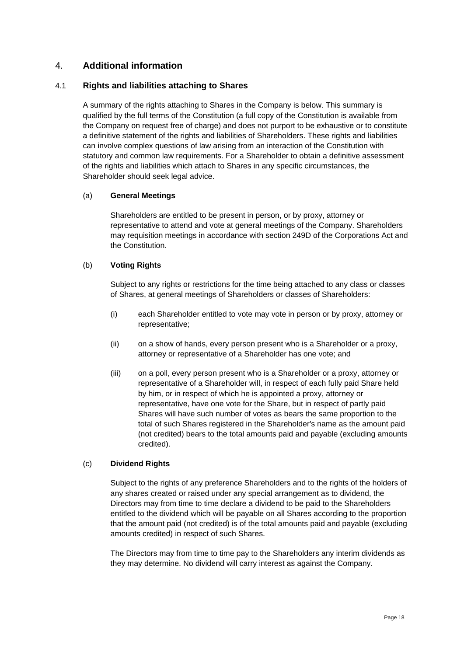# <span id="page-17-0"></span>4. **Additional information**

# <span id="page-17-1"></span>4.1 **Rights and liabilities attaching to Shares**

A summary of the rights attaching to Shares in the Company is below. This summary is qualified by the full terms of the Constitution (a full copy of the Constitution is available from the Company on request free of charge) and does not purport to be exhaustive or to constitute a definitive statement of the rights and liabilities of Shareholders. These rights and liabilities can involve complex questions of law arising from an interaction of the Constitution with statutory and common law requirements. For a Shareholder to obtain a definitive assessment of the rights and liabilities which attach to Shares in any specific circumstances, the Shareholder should seek legal advice.

# (a) **General Meetings**

Shareholders are entitled to be present in person, or by proxy, attorney or representative to attend and vote at general meetings of the Company. Shareholders may requisition meetings in accordance with section 249D of the Corporations Act and the Constitution.

### (b) **Voting Rights**

Subject to any rights or restrictions for the time being attached to any class or classes of Shares, at general meetings of Shareholders or classes of Shareholders:

- (i) each Shareholder entitled to vote may vote in person or by proxy, attorney or representative;
- (ii) on a show of hands, every person present who is a Shareholder or a proxy, attorney or representative of a Shareholder has one vote; and
- (iii) on a poll, every person present who is a Shareholder or a proxy, attorney or representative of a Shareholder will, in respect of each fully paid Share held by him, or in respect of which he is appointed a proxy, attorney or representative, have one vote for the Share, but in respect of partly paid Shares will have such number of votes as bears the same proportion to the total of such Shares registered in the Shareholder's name as the amount paid (not credited) bears to the total amounts paid and payable (excluding amounts credited).

# (c) **Dividend Rights**

Subject to the rights of any preference Shareholders and to the rights of the holders of any shares created or raised under any special arrangement as to dividend, the Directors may from time to time declare a dividend to be paid to the Shareholders entitled to the dividend which will be payable on all Shares according to the proportion that the amount paid (not credited) is of the total amounts paid and payable (excluding amounts credited) in respect of such Shares.

The Directors may from time to time pay to the Shareholders any interim dividends as they may determine. No dividend will carry interest as against the Company.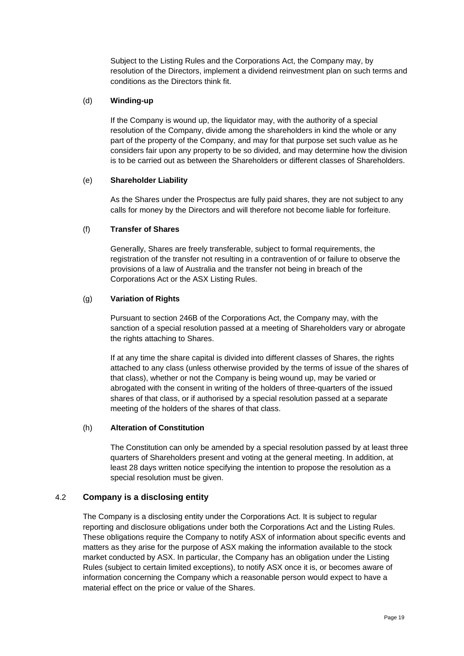Subject to the Listing Rules and the Corporations Act, the Company may, by resolution of the Directors, implement a dividend reinvestment plan on such terms and conditions as the Directors think fit.

# (d) **Winding-up**

If the Company is wound up, the liquidator may, with the authority of a special resolution of the Company, divide among the shareholders in kind the whole or any part of the property of the Company, and may for that purpose set such value as he considers fair upon any property to be so divided, and may determine how the division is to be carried out as between the Shareholders or different classes of Shareholders.

# (e) **Shareholder Liability**

As the Shares under the Prospectus are fully paid shares, they are not subject to any calls for money by the Directors and will therefore not become liable for forfeiture.

# (f) **Transfer of Shares**

Generally, Shares are freely transferable, subject to formal requirements, the registration of the transfer not resulting in a contravention of or failure to observe the provisions of a law of Australia and the transfer not being in breach of the Corporations Act or the ASX Listing Rules.

# (g) **Variation of Rights**

Pursuant to section 246B of the Corporations Act, the Company may, with the sanction of a special resolution passed at a meeting of Shareholders vary or abrogate the rights attaching to Shares.

If at any time the share capital is divided into different classes of Shares, the rights attached to any class (unless otherwise provided by the terms of issue of the shares of that class), whether or not the Company is being wound up, may be varied or abrogated with the consent in writing of the holders of three-quarters of the issued shares of that class, or if authorised by a special resolution passed at a separate meeting of the holders of the shares of that class.

# (h) **Alteration of Constitution**

The Constitution can only be amended by a special resolution passed by at least three quarters of Shareholders present and voting at the general meeting. In addition, at least 28 days written notice specifying the intention to propose the resolution as a special resolution must be given.

# 4.2 **Company is a disclosing entity**

The Company is a disclosing entity under the Corporations Act. It is subject to regular reporting and disclosure obligations under both the Corporations Act and the Listing Rules. These obligations require the Company to notify ASX of information about specific events and matters as they arise for the purpose of ASX making the information available to the stock market conducted by ASX. In particular, the Company has an obligation under the Listing Rules (subject to certain limited exceptions), to notify ASX once it is, or becomes aware of information concerning the Company which a reasonable person would expect to have a material effect on the price or value of the Shares.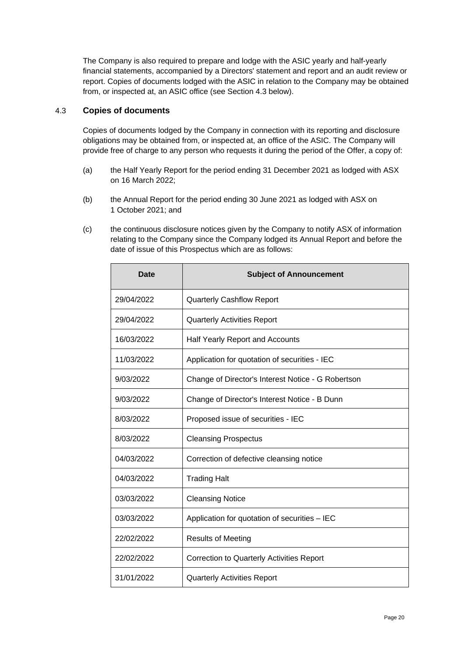The Company is also required to prepare and lodge with the ASIC yearly and half-yearly financial statements, accompanied by a Directors' statement and report and an audit review or report. Copies of documents lodged with the ASIC in relation to the Company may be obtained from, or inspected at, an ASIC office (see Section [4.3](#page-19-0) below).

# <span id="page-19-0"></span>4.3 **Copies of documents**

Copies of documents lodged by the Company in connection with its reporting and disclosure obligations may be obtained from, or inspected at, an office of the ASIC. The Company will provide free of charge to any person who requests it during the period of the Offer, a copy of:

- (a) the Half Yearly Report for the period ending 31 December 2021 as lodged with ASX on 16 March 2022;
- (b) the Annual Report for the period ending 30 June 2021 as lodged with ASX on 1 October 2021; and
- (c) the continuous disclosure notices given by the Company to notify ASX of information relating to the Company since the Company lodged its Annual Report and before the date of issue of this Prospectus which are as follows:

| <b>Date</b> | <b>Subject of Announcement</b>                     |
|-------------|----------------------------------------------------|
| 29/04/2022  | <b>Quarterly Cashflow Report</b>                   |
| 29/04/2022  | <b>Quarterly Activities Report</b>                 |
| 16/03/2022  | Half Yearly Report and Accounts                    |
| 11/03/2022  | Application for quotation of securities - IEC      |
| 9/03/2022   | Change of Director's Interest Notice - G Robertson |
| 9/03/2022   | Change of Director's Interest Notice - B Dunn      |
| 8/03/2022   | Proposed issue of securities - IEC                 |
| 8/03/2022   | <b>Cleansing Prospectus</b>                        |
| 04/03/2022  | Correction of defective cleansing notice           |
| 04/03/2022  | <b>Trading Halt</b>                                |
| 03/03/2022  | <b>Cleansing Notice</b>                            |
| 03/03/2022  | Application for quotation of securities - IEC      |
| 22/02/2022  | <b>Results of Meeting</b>                          |
| 22/02/2022  | Correction to Quarterly Activities Report          |
| 31/01/2022  | <b>Quarterly Activities Report</b>                 |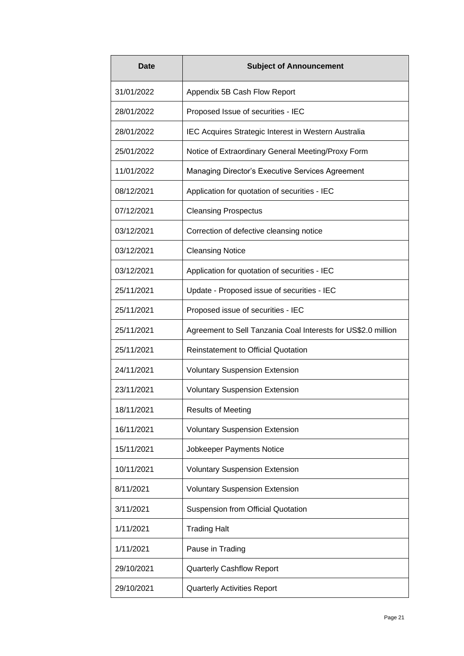| Date       | <b>Subject of Announcement</b>                                |
|------------|---------------------------------------------------------------|
| 31/01/2022 | Appendix 5B Cash Flow Report                                  |
| 28/01/2022 | Proposed Issue of securities - IEC                            |
| 28/01/2022 | IEC Acquires Strategic Interest in Western Australia          |
| 25/01/2022 | Notice of Extraordinary General Meeting/Proxy Form            |
| 11/01/2022 | Managing Director's Executive Services Agreement              |
| 08/12/2021 | Application for quotation of securities - IEC                 |
| 07/12/2021 | <b>Cleansing Prospectus</b>                                   |
| 03/12/2021 | Correction of defective cleansing notice                      |
| 03/12/2021 | <b>Cleansing Notice</b>                                       |
| 03/12/2021 | Application for quotation of securities - IEC                 |
| 25/11/2021 | Update - Proposed issue of securities - IEC                   |
| 25/11/2021 | Proposed issue of securities - IEC                            |
| 25/11/2021 | Agreement to Sell Tanzania Coal Interests for US\$2.0 million |
| 25/11/2021 | <b>Reinstatement to Official Quotation</b>                    |
| 24/11/2021 | <b>Voluntary Suspension Extension</b>                         |
| 23/11/2021 | <b>Voluntary Suspension Extension</b>                         |
| 18/11/2021 | <b>Results of Meeting</b>                                     |
| 16/11/2021 | <b>Voluntary Suspension Extension</b>                         |
| 15/11/2021 | Jobkeeper Payments Notice                                     |
| 10/11/2021 | <b>Voluntary Suspension Extension</b>                         |
| 8/11/2021  | <b>Voluntary Suspension Extension</b>                         |
| 3/11/2021  | Suspension from Official Quotation                            |
| 1/11/2021  | <b>Trading Halt</b>                                           |
| 1/11/2021  | Pause in Trading                                              |
| 29/10/2021 | <b>Quarterly Cashflow Report</b>                              |
| 29/10/2021 | <b>Quarterly Activities Report</b>                            |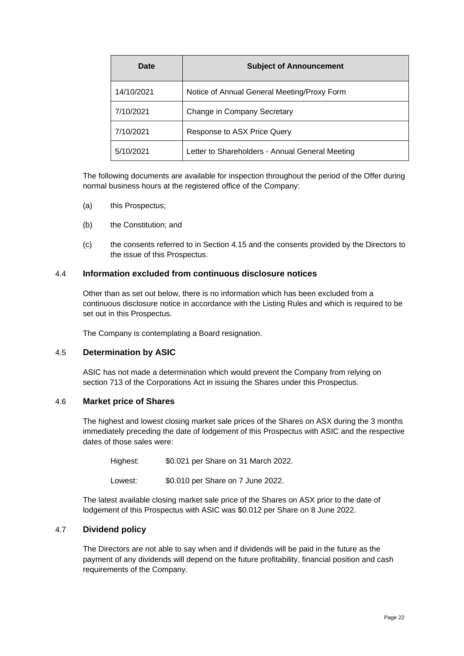| Date       | <b>Subject of Announcement</b>                  |
|------------|-------------------------------------------------|
| 14/10/2021 | Notice of Annual General Meeting/Proxy Form     |
| 7/10/2021  | Change in Company Secretary                     |
| 7/10/2021  | Response to ASX Price Query                     |
| 5/10/2021  | Letter to Shareholders - Annual General Meeting |

The following documents are available for inspection throughout the period of the Offer during normal business hours at the registered office of the Company:

- (a) this Prospectus;
- (b) the Constitution; and
- (c) the consents referred to in Section [4.15](#page-25-0) and the consents provided by the Directors to the issue of this Prospectus.

### 4.4 **Information excluded from continuous disclosure notices**

Other than as set out below, there is no information which has been excluded from a continuous disclosure notice in accordance with the Listing Rules and which is required to be set out in this Prospectus.

The Company is contemplating a Board resignation.

# 4.5 **Determination by ASIC**

ASIC has not made a determination which would prevent the Company from relying on section 713 of the Corporations Act in issuing the Shares under this Prospectus.

#### 4.6 **Market price of Shares**

The highest and lowest closing market sale prices of the Shares on ASX during the 3 months immediately preceding the date of lodgement of this Prospectus with ASIC and the respective dates of those sales were:

Highest: \$0.021 per Share on 31 March 2022.

Lowest: \$0.010 per Share on 7 June 2022.

The latest available closing market sale price of the Shares on ASX prior to the date of lodgement of this Prospectus with ASIC was \$0.012 per Share on 8 June 2022.

# 4.7 **Dividend policy**

The Directors are not able to say when and if dividends will be paid in the future as the payment of any dividends will depend on the future profitability, financial position and cash requirements of the Company.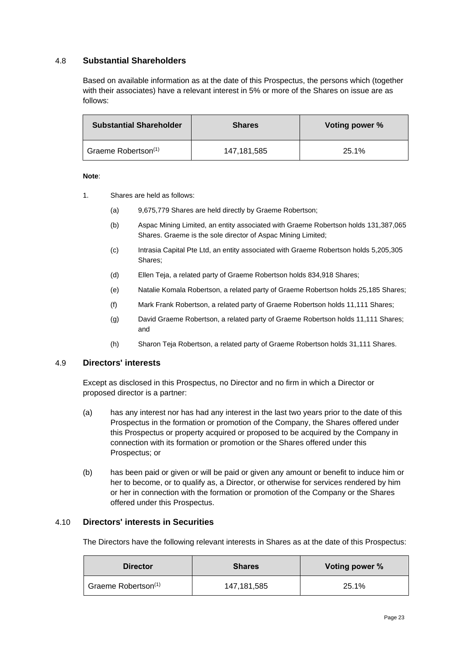# <span id="page-22-0"></span>4.8 **Substantial Shareholders**

Based on available information as at the date of this Prospectus, the persons which (together with their associates) have a relevant interest in 5% or more of the Shares on issue are as follows:

| <b>Substantial Shareholder</b>  | <b>Shares</b> | Voting power % |
|---------------------------------|---------------|----------------|
| Graeme Robertson <sup>(1)</sup> | 147,181,585   | 25.1%          |

#### **Note**:

- 1. Shares are held as follows:
	- (a) 9,675,779 Shares are held directly by Graeme Robertson;
	- (b) Aspac Mining Limited, an entity associated with Graeme Robertson holds 131,387,065 Shares. Graeme is the sole director of Aspac Mining Limited;
	- (c) Intrasia Capital Pte Ltd, an entity associated with Graeme Robertson holds 5,205,305 Shares;
	- (d) Ellen Teja, a related party of Graeme Robertson holds 834,918 Shares;
	- (e) Natalie Komala Robertson, a related party of Graeme Robertson holds 25,185 Shares;
	- (f) Mark Frank Robertson, a related party of Graeme Robertson holds 11,111 Shares;
	- (g) David Graeme Robertson, a related party of Graeme Robertson holds 11,111 Shares; and
	- (h) Sharon Teja Robertson, a related party of Graeme Robertson holds 31,111 Shares.

# 4.9 **Directors' interests**

Except as disclosed in this Prospectus, no Director and no firm in which a Director or proposed director is a partner:

- (a) has any interest nor has had any interest in the last two years prior to the date of this Prospectus in the formation or promotion of the Company, the Shares offered under this Prospectus or property acquired or proposed to be acquired by the Company in connection with its formation or promotion or the Shares offered under this Prospectus; or
- (b) has been paid or given or will be paid or given any amount or benefit to induce him or her to become, or to qualify as, a Director, or otherwise for services rendered by him or her in connection with the formation or promotion of the Company or the Shares offered under this Prospectus.

#### 4.10 **Directors' interests in Securities**

The Directors have the following relevant interests in Shares as at the date of this Prospectus:

| <b>Director</b>                 | <b>Shares</b> | Voting power % |
|---------------------------------|---------------|----------------|
| Graeme Robertson <sup>(1)</sup> | 147,181,585   | 25.1%          |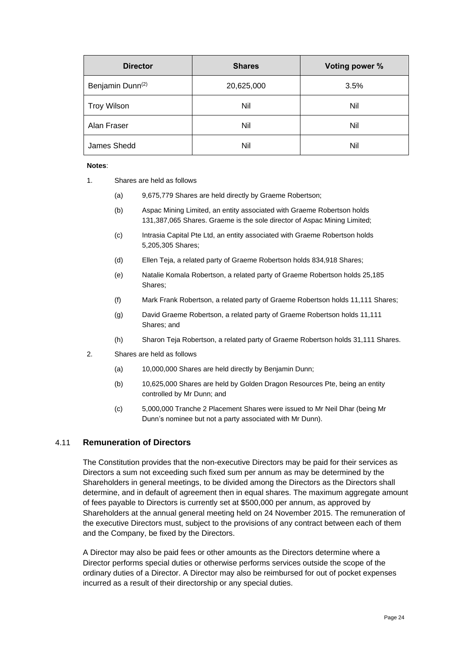| <b>Director</b>              | <b>Shares</b> | Voting power % |
|------------------------------|---------------|----------------|
| Benjamin Dunn <sup>(2)</sup> | 20,625,000    | 3.5%           |
| <b>Troy Wilson</b>           | Nil           | Nil            |
| Alan Fraser                  | Nil           | Nil            |
| James Shedd                  | Nil           | Nil            |

#### **Notes**:

- 1. Shares are held as follows
	- (a) 9,675,779 Shares are held directly by Graeme Robertson;
	- (b) Aspac Mining Limited, an entity associated with Graeme Robertson holds 131,387,065 Shares. Graeme is the sole director of Aspac Mining Limited;
	- (c) Intrasia Capital Pte Ltd, an entity associated with Graeme Robertson holds 5,205,305 Shares;
	- (d) Ellen Teja, a related party of Graeme Robertson holds 834,918 Shares;
	- (e) Natalie Komala Robertson, a related party of Graeme Robertson holds 25,185 Shares;
	- (f) Mark Frank Robertson, a related party of Graeme Robertson holds 11,111 Shares;
	- (g) David Graeme Robertson, a related party of Graeme Robertson holds 11,111 Shares; and
	- (h) Sharon Teja Robertson, a related party of Graeme Robertson holds 31,111 Shares.
- 2. Shares are held as follows
	- (a) 10,000,000 Shares are held directly by Benjamin Dunn;
	- (b) 10,625,000 Shares are held by Golden Dragon Resources Pte, being an entity controlled by Mr Dunn; and
	- (c) 5,000,000 Tranche 2 Placement Shares were issued to Mr Neil Dhar (being Mr Dunn's nominee but not a party associated with Mr Dunn).

# 4.11 **Remuneration of Directors**

The Constitution provides that the non-executive Directors may be paid for their services as Directors a sum not exceeding such fixed sum per annum as may be determined by the Shareholders in general meetings, to be divided among the Directors as the Directors shall determine, and in default of agreement then in equal shares. The maximum aggregate amount of fees payable to Directors is currently set at \$500,000 per annum, as approved by Shareholders at the annual general meeting held on 24 November 2015. The remuneration of the executive Directors must, subject to the provisions of any contract between each of them and the Company, be fixed by the Directors.

A Director may also be paid fees or other amounts as the Directors determine where a Director performs special duties or otherwise performs services outside the scope of the ordinary duties of a Director. A Director may also be reimbursed for out of pocket expenses incurred as a result of their directorship or any special duties.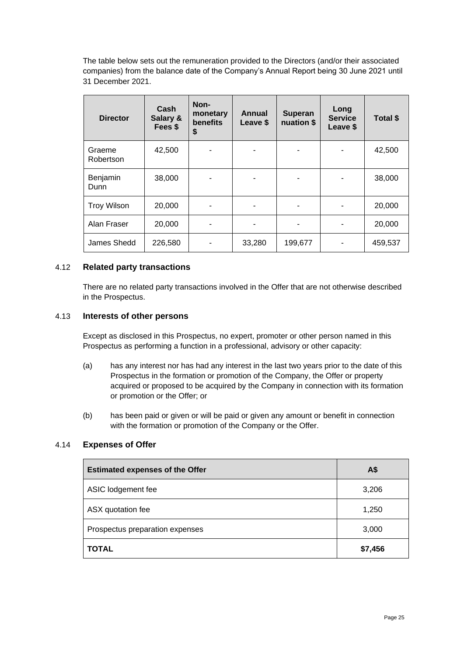The table below sets out the remuneration provided to the Directors (and/or their associated companies) from the balance date of the Company's Annual Report being 30 June 2021 until 31 December 2021.

| <b>Director</b>     | Cash<br>Salary &<br>Fees \$ | Non-<br>monetary<br>benefits<br>\$ | Annual<br>Leave \$ | <b>Superan</b><br>nuation \$ | Long<br><b>Service</b><br>Leave \$ | Total \$ |
|---------------------|-----------------------------|------------------------------------|--------------------|------------------------------|------------------------------------|----------|
| Graeme<br>Robertson | 42,500                      |                                    |                    |                              |                                    | 42,500   |
| Benjamin<br>Dunn    | 38,000                      |                                    |                    |                              |                                    | 38,000   |
| <b>Troy Wilson</b>  | 20,000                      |                                    |                    |                              |                                    | 20,000   |
| Alan Fraser         | 20,000                      |                                    |                    |                              |                                    | 20,000   |
| James Shedd         | 226,580                     |                                    | 33,280             | 199,677                      |                                    | 459,537  |

# 4.12 **Related party transactions**

There are no related party transactions involved in the Offer that are not otherwise described in the Prospectus.

### 4.13 **Interests of other persons**

Except as disclosed in this Prospectus, no expert, promoter or other person named in this Prospectus as performing a function in a professional, advisory or other capacity:

- (a) has any interest nor has had any interest in the last two years prior to the date of this Prospectus in the formation or promotion of the Company, the Offer or property acquired or proposed to be acquired by the Company in connection with its formation or promotion or the Offer; or
- (b) has been paid or given or will be paid or given any amount or benefit in connection with the formation or promotion of the Company or the Offer.

# <span id="page-24-0"></span>4.14 **Expenses of Offer**

| <b>Estimated expenses of the Offer</b> | A\$     |
|----------------------------------------|---------|
| ASIC lodgement fee                     | 3,206   |
| ASX quotation fee                      | 1,250   |
| Prospectus preparation expenses        | 3,000   |
| <b>TOTAL</b>                           | \$7,456 |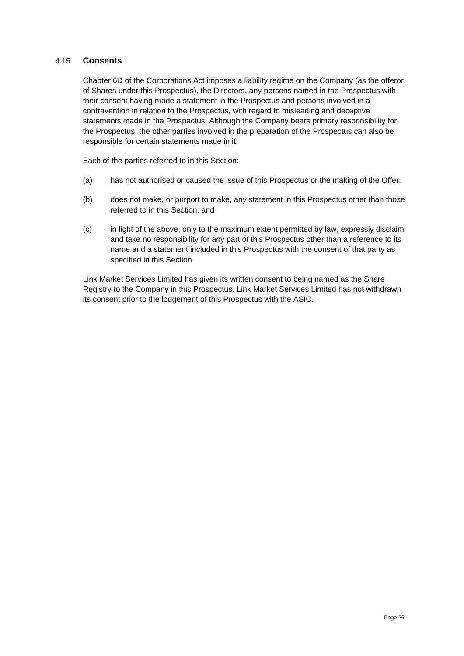# <span id="page-25-0"></span>4.15 **Consents**

Chapter 6D of the Corporations Act imposes a liability regime on the Company (as the offeror of Shares under this Prospectus), the Directors, any persons named in the Prospectus with their consent having made a statement in the Prospectus and persons involved in a contravention in relation to the Prospectus, with regard to misleading and deceptive statements made in the Prospectus. Although the Company bears primary responsibility for the Prospectus, the other parties involved in the preparation of the Prospectus can also be responsible for certain statements made in it.

Each of the parties referred to in this Section:

- (a) has not authorised or caused the issue of this Prospectus or the making of the Offer;
- (b) does not make, or purport to make, any statement in this Prospectus other than those referred to in this Section; and
- (c) in light of the above, only to the maximum extent permitted by law, expressly disclaim and take no responsibility for any part of this Prospectus other than a reference to its name and a statement included in this Prospectus with the consent of that party as specified in this Section.

Link Market Services Limited has given its written consent to being named as the Share Registry to the Company in this Prospectus. Link Market Services Limited has not withdrawn its consent prior to the lodgement of this Prospectus with the ASIC.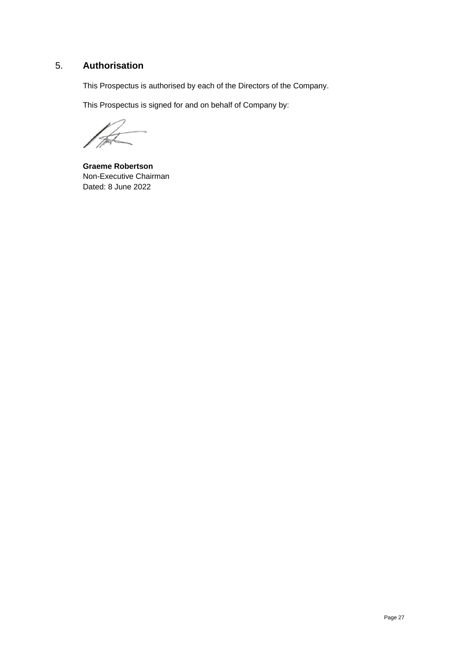# <span id="page-26-0"></span>5. **Authorisation**

This Prospectus is authorised by each of the Directors of the Company.

This Prospectus is signed for and on behalf of Company by:

**Graeme Robertson** Non-Executive Chairman Dated: 8 June 2022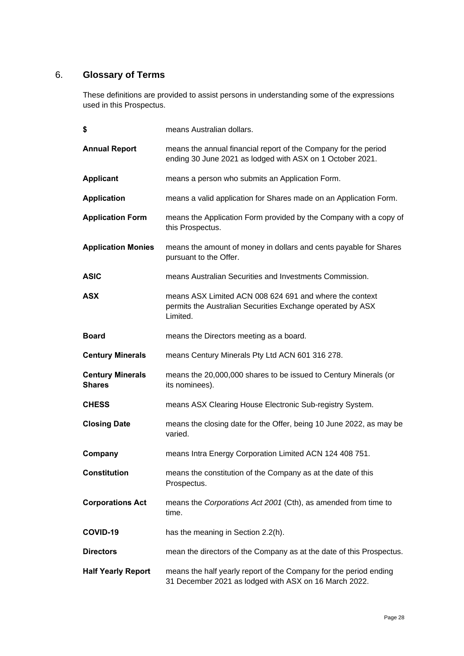# <span id="page-27-0"></span>6. **Glossary of Terms**

These definitions are provided to assist persons in understanding some of the expressions used in this Prospectus.

| \$                                       | means Australian dollars.                                                                                                         |
|------------------------------------------|-----------------------------------------------------------------------------------------------------------------------------------|
| <b>Annual Report</b>                     | means the annual financial report of the Company for the period<br>ending 30 June 2021 as lodged with ASX on 1 October 2021.      |
| <b>Applicant</b>                         | means a person who submits an Application Form.                                                                                   |
| <b>Application</b>                       | means a valid application for Shares made on an Application Form.                                                                 |
| <b>Application Form</b>                  | means the Application Form provided by the Company with a copy of<br>this Prospectus.                                             |
| <b>Application Monies</b>                | means the amount of money in dollars and cents payable for Shares<br>pursuant to the Offer.                                       |
| <b>ASIC</b>                              | means Australian Securities and Investments Commission.                                                                           |
| <b>ASX</b>                               | means ASX Limited ACN 008 624 691 and where the context<br>permits the Australian Securities Exchange operated by ASX<br>Limited. |
| <b>Board</b>                             | means the Directors meeting as a board.                                                                                           |
| <b>Century Minerals</b>                  | means Century Minerals Pty Ltd ACN 601 316 278.                                                                                   |
| <b>Century Minerals</b><br><b>Shares</b> | means the 20,000,000 shares to be issued to Century Minerals (or<br>its nominees).                                                |
| <b>CHESS</b>                             | means ASX Clearing House Electronic Sub-registry System.                                                                          |
| <b>Closing Date</b>                      | means the closing date for the Offer, being 10 June 2022, as may be<br>varied.                                                    |
| Company                                  | means Intra Energy Corporation Limited ACN 124 408 751.                                                                           |
| <b>Constitution</b>                      | means the constitution of the Company as at the date of this<br>Prospectus.                                                       |
| <b>Corporations Act</b>                  | means the Corporations Act 2001 (Cth), as amended from time to<br>time.                                                           |
| COVID-19                                 | has the meaning in Section 2.2(h).                                                                                                |
| <b>Directors</b>                         | mean the directors of the Company as at the date of this Prospectus.                                                              |
| <b>Half Yearly Report</b>                | means the half yearly report of the Company for the period ending<br>31 December 2021 as lodged with ASX on 16 March 2022.        |